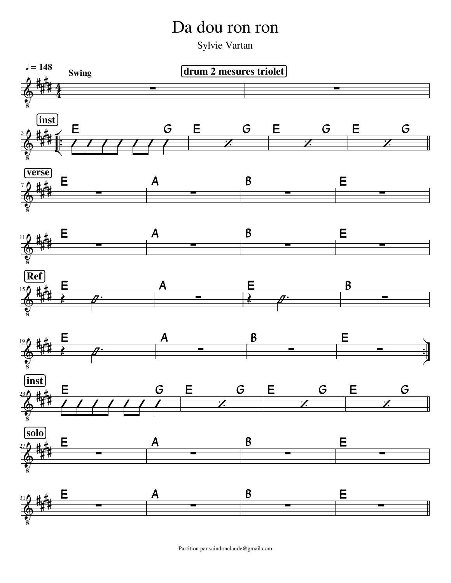## Da dou ron ron

Sylvie Vartan



Partition par saindonclaude@gmail.com